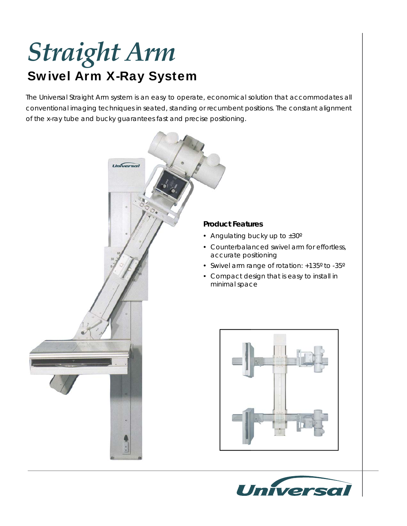## Swivel Arm X-Ray System *Straight Arm*

The Universal Straight Arm system is an easy to operate, economical solution that accommodates all conventional imaging techniques in seated, standing or recumbent positions. The constant alignment of the x-ray tube and bucky guarantees fast and precise positioning.